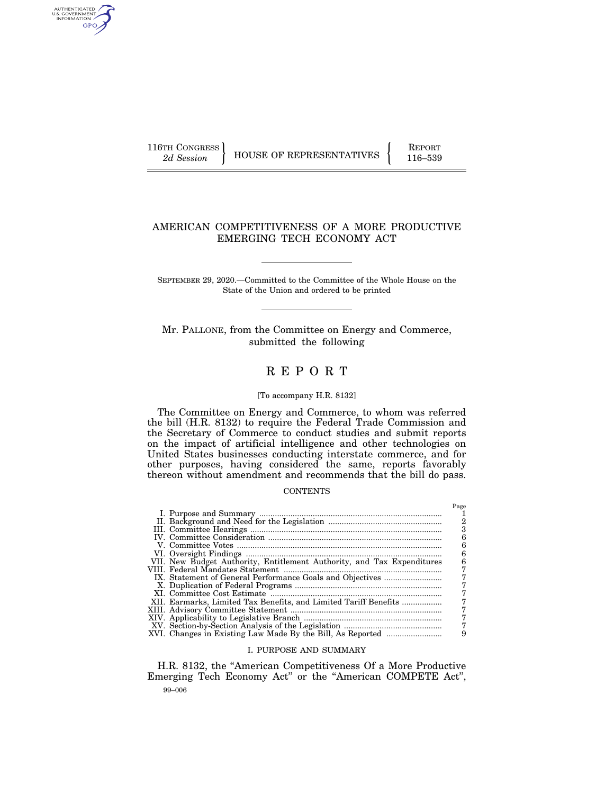AUTHENTICATED<br>U.S. GOVERNMENT<br>INFORMATION GPO

116TH CONGRESS HOUSE OF REPRESENTATIVES FEPORT 116–539

 $D_{\alpha\alpha\alpha}$ 

## AMERICAN COMPETITIVENESS OF A MORE PRODUCTIVE EMERGING TECH ECONOMY ACT

SEPTEMBER 29, 2020.—Committed to the Committee of the Whole House on the State of the Union and ordered to be printed

Mr. PALLONE, from the Committee on Energy and Commerce, submitted the following

# R E P O R T

#### [To accompany H.R. 8132]

The Committee on Energy and Commerce, to whom was referred the bill (H.R. 8132) to require the Federal Trade Commission and the Secretary of Commerce to conduct studies and submit reports on the impact of artificial intelligence and other technologies on United States businesses conducting interstate commerce, and for other purposes, having considered the same, reports favorably thereon without amendment and recommends that the bill do pass.

## **CONTENTS**

|                                                                        | 1 age |
|------------------------------------------------------------------------|-------|
|                                                                        |       |
|                                                                        | 2     |
|                                                                        | 0     |
|                                                                        |       |
|                                                                        |       |
|                                                                        |       |
| VII. New Budget Authority, Entitlement Authority, and Tax Expenditures |       |
|                                                                        |       |
|                                                                        |       |
|                                                                        |       |
|                                                                        |       |
| XII. Earmarks, Limited Tax Benefits, and Limited Tariff Benefits       |       |
|                                                                        |       |
|                                                                        |       |
|                                                                        |       |
| XVI. Changes in Existing Law Made By the Bill, As Reported             | 9     |
|                                                                        |       |

## I. PURPOSE AND SUMMARY

99–006 H.R. 8132, the ''American Competitiveness Of a More Productive Emerging Tech Economy Act'' or the ''American COMPETE Act'',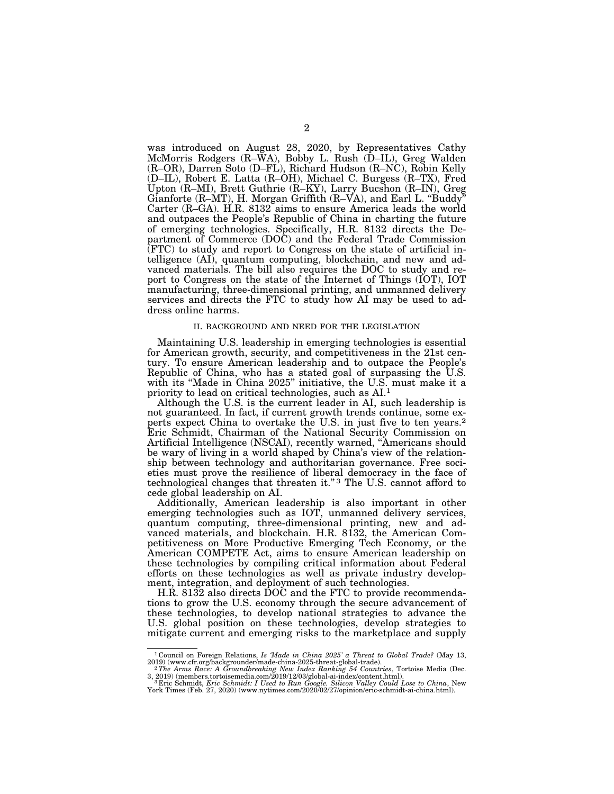was introduced on August 28, 2020, by Representatives Cathy McMorris Rodgers (R–WA), Bobby L. Rush (D–IL), Greg Walden (R–OR), Darren Soto (D–FL), Richard Hudson (R–NC), Robin Kelly (D–IL), Robert E. Latta (R–OH), Michael C. Burgess (R–TX), Fred Upton (R–MI), Brett Guthrie (R–KY), Larry Bucshon (R–IN), Greg Gianforte (R–MT), H. Morgan Griffith (R–VA), and Earl L. "Buddy" Carter (R–GA). H.R. 8132 aims to ensure America leads the world and outpaces the People's Republic of China in charting the future of emerging technologies. Specifically, H.R. 8132 directs the Department of Commerce (DOC) and the Federal Trade Commission (FTC) to study and report to Congress on the state of artificial intelligence (AI), quantum computing, blockchain, and new and advanced materials. The bill also requires the DOC to study and report to Congress on the state of the Internet of Things (IOT), IOT manufacturing, three-dimensional printing, and unmanned delivery services and directs the FTC to study how AI may be used to address online harms.

#### II. BACKGROUND AND NEED FOR THE LEGISLATION

Maintaining U.S. leadership in emerging technologies is essential for American growth, security, and competitiveness in the 21st century. To ensure American leadership and to outpace the People's Republic of China, who has a stated goal of surpassing the U.S. with its "Made in China 2025" initiative, the U.S. must make it a priority to lead on critical technologies, such as AI.1

Although the U.S. is the current leader in AI, such leadership is not guaranteed. In fact, if current growth trends continue, some experts expect China to overtake the U.S. in just five to ten years.2 Eric Schmidt, Chairman of the National Security Commission on Artificial Intelligence (NSCAI), recently warned, ''Americans should be wary of living in a world shaped by China's view of the relationship between technology and authoritarian governance. Free societies must prove the resilience of liberal democracy in the face of technological changes that threaten it."<sup>3</sup> The U.S. cannot afford to cede global leadership on AI.

Additionally, American leadership is also important in other emerging technologies such as IOT, unmanned delivery services, quantum computing, three-dimensional printing, new and advanced materials, and blockchain. H.R. 8132, the American Competitiveness on More Productive Emerging Tech Economy, or the American COMPETE Act, aims to ensure American leadership on these technologies by compiling critical information about Federal efforts on these technologies as well as private industry development, integration, and deployment of such technologies.

H.R. 8132 also directs DOC and the FTC to provide recommendations to grow the U.S. economy through the secure advancement of these technologies, to develop national strategies to advance the U.S. global position on these technologies, develop strategies to mitigate current and emerging risks to the marketplace and supply

<sup>&</sup>lt;sup>1</sup> Council on Foreign Relations, *Is 'Made in China 2025' a Threat to Global Trade?* (May 13, 2019) (www.cfr.org/backgrounder/made-china-2025-threat-global-trade).<br><sup>2</sup> The Arms Race: A Groundbreaking New Index Ranking 54

<sup>3, 2019) (</sup>members.tortoisemedia.com/2019/12/03/global-ai-index/content.html).<br>"Bric Schmidt, *Eric Schmidt: I Used to Run Google. Silicon Valley Could Lose to China*, New<br>York Times (Feb. 27, 2020) (www.nytimes.com/2020/02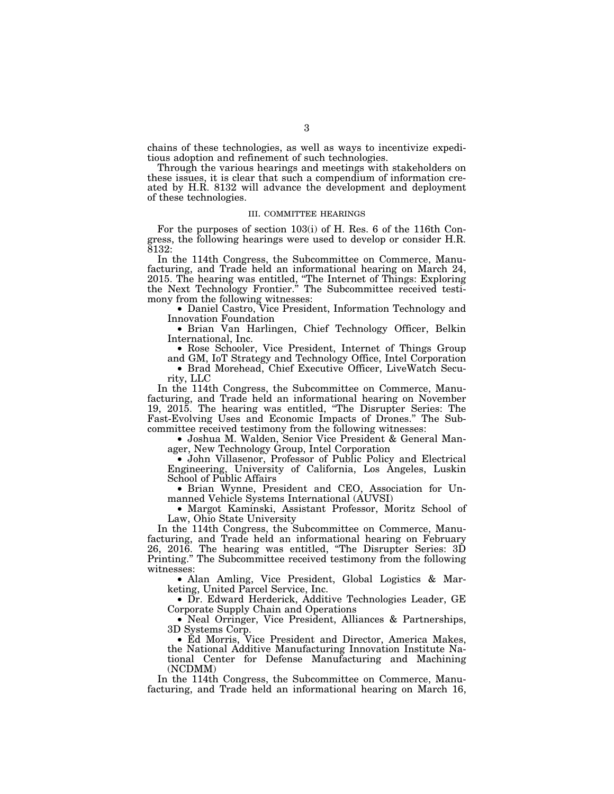chains of these technologies, as well as ways to incentivize expeditious adoption and refinement of such technologies.

Through the various hearings and meetings with stakeholders on these issues, it is clear that such a compendium of information created by H.R. 8132 will advance the development and deployment of these technologies.

#### III. COMMITTEE HEARINGS

For the purposes of section 103(i) of H. Res. 6 of the 116th Congress, the following hearings were used to develop or consider H.R. 8132:

In the 114th Congress, the Subcommittee on Commerce, Manufacturing, and Trade held an informational hearing on March 24, 2015. The hearing was entitled, ''The Internet of Things: Exploring the Next Technology Frontier.'' The Subcommittee received testimony from the following witnesses:

• Daniel Castro, Vice President, Information Technology and Innovation Foundation

• Brian Van Harlingen, Chief Technology Officer, Belkin International, Inc.

• Rose Schooler, Vice President, Internet of Things Group and GM, IoT Strategy and Technology Office, Intel Corporation

• Brad Morehead, Chief Executive Officer, LiveWatch Security, LLC

In the 114th Congress, the Subcommittee on Commerce, Manufacturing, and Trade held an informational hearing on November 19, 2015. The hearing was entitled, ''The Disrupter Series: The Fast-Evolving Uses and Economic Impacts of Drones.'' The Subcommittee received testimony from the following witnesses:

• Joshua M. Walden, Senior Vice President & General Manager, New Technology Group, Intel Corporation

• John Villasenor, Professor of Public Policy and Electrical Engineering, University of California, Los Angeles, Luskin School of Public Affairs

• Brian Wynne, President and CEO, Association for Unmanned Vehicle Systems International (AUVSI)

• Margot Kaminski, Assistant Professor, Moritz School of Law, Ohio State University

In the 114th Congress, the Subcommittee on Commerce, Manufacturing, and Trade held an informational hearing on February 26, 2016. The hearing was entitled, ''The Disrupter Series: 3D Printing.'' The Subcommittee received testimony from the following witnesses:

• Alan Amling, Vice President, Global Logistics & Marketing, United Parcel Service, Inc.

• Dr. Edward Herderick, Additive Technologies Leader, GE Corporate Supply Chain and Operations

• Neal Orringer, Vice President, Alliances & Partnerships, 3D Systems Corp.

• Ed Morris, Vice President and Director, America Makes, the National Additive Manufacturing Innovation Institute National Center for Defense Manufacturing and Machining (NCDMM)

In the 114th Congress, the Subcommittee on Commerce, Manufacturing, and Trade held an informational hearing on March 16,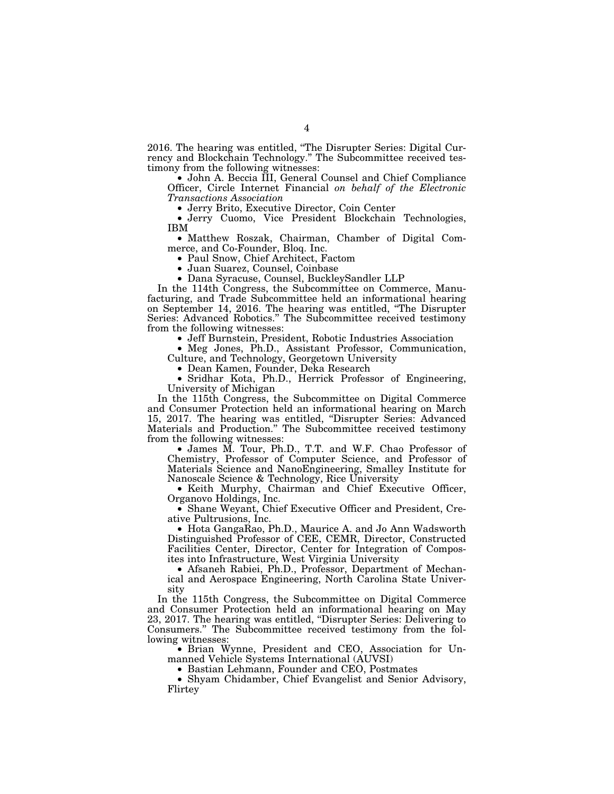2016. The hearing was entitled, ''The Disrupter Series: Digital Currency and Blockchain Technology.'' The Subcommittee received testimony from the following witnesses:

• John A. Beccia III, General Counsel and Chief Compliance Officer, Circle Internet Financial *on behalf of the Electronic Transactions Association* 

• Jerry Cuomo, Vice President Blockchain Technologies, IBM

• Matthew Roszak, Chairman, Chamber of Digital Commerce, and Co-Founder, Bloq. Inc.<br>• Paul Snow, Chief Architect, Factom

• Paul Snow, Chief Architect, Factom • Juan Suarez, Counsel, Coinbase • Dana Syracuse, Counsel, BuckleySandler LLP

In the 114th Congress, the Subcommittee on Commerce, Manufacturing, and Trade Subcommittee held an informational hearing on September 14, 2016. The hearing was entitled, ''The Disrupter Series: Advanced Robotics.'' The Subcommittee received testimony from the following witnesses:

• Jeff Burnstein, President, Robotic Industries Association • Meg Jones, Ph.D., Assistant Professor, Communication,

Culture, and Technology, Georgetown University

• Sridhar Kota, Ph.D., Herrick Professor of Engineering, University of Michigan

In the 115th Congress, the Subcommittee on Digital Commerce and Consumer Protection held an informational hearing on March 15, 2017. The hearing was entitled, ''Disrupter Series: Advanced Materials and Production.'' The Subcommittee received testimony from the following witnesses:

• James M. Tour, Ph.D., T.T. and W.F. Chao Professor of Chemistry, Professor of Computer Science, and Professor of Materials Science and NanoEngineering, Smalley Institute for Nanoscale Science & Technology, Rice University

• Keith Murphy, Chairman and Chief Executive Officer, Organovo Holdings, Inc.

• Shane Weyant, Chief Executive Officer and President, Creative Pultrusions, Inc.

• Hota GangaRao, Ph.D., Maurice A. and Jo Ann Wadsworth Distinguished Professor of CEE, CEMR, Director, Constructed Facilities Center, Director, Center for Integration of Composites into Infrastructure, West Virginia University

• Afsaneh Rabiei, Ph.D., Professor, Department of Mechanical and Aerospace Engineering, North Carolina State University

In the 115th Congress, the Subcommittee on Digital Commerce and Consumer Protection held an informational hearing on May 23, 2017. The hearing was entitled, "Disrupter Series: Delivering to Consumers.'' The Subcommittee received testimony from the following witnesses:

• Brian Wynne, President and CEO, Association for Unmanned Vehicle Systems International (AUVSI)

• Bastian Lehmann, Founder and CEO, Postmates

• Shyam Chidamber, Chief Evangelist and Senior Advisory, Flirtey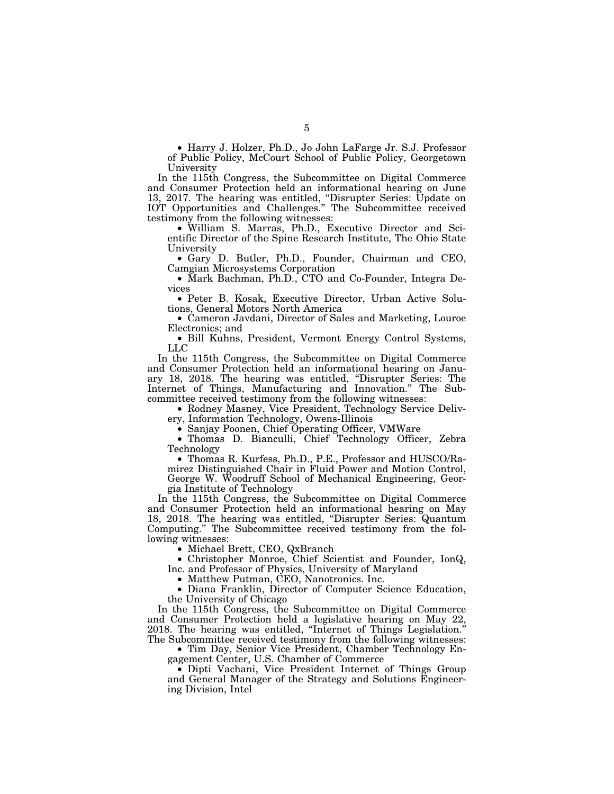• Harry J. Holzer, Ph.D., Jo John LaFarge Jr. S.J. Professor of Public Policy, McCourt School of Public Policy, Georgetown University

In the 115th Congress, the Subcommittee on Digital Commerce and Consumer Protection held an informational hearing on June 13, 2017. The hearing was entitled, ''Disrupter Series: Update on IOT Opportunities and Challenges.'' The Subcommittee received testimony from the following witnesses:

• William S. Marras, Ph.D., Executive Director and Scientific Director of the Spine Research Institute, The Ohio State University

• Gary D. Butler, Ph.D., Founder, Chairman and CEO, Camgian Microsystems Corporation

• Mark Bachman, Ph.D., CTO and Co-Founder, Integra Devices

• Peter B. Kosak, Executive Director, Urban Active Solutions, General Motors North America

• Cameron Javdani, Director of Sales and Marketing, Louroe Electronics; and

• Bill Kuhns, President, Vermont Energy Control Systems, LLC

In the 115th Congress, the Subcommittee on Digital Commerce and Consumer Protection held an informational hearing on January 18, 2018. The hearing was entitled, ''Disrupter Series: The Internet of Things, Manufacturing and Innovation.'' The Subcommittee received testimony from the following witnesses:

• Rodney Masney, Vice President, Technology Service Delivery, Information Technology, Owens-Illinois

• Sanjay Poonen, Chief Operating Officer, VMWare<br>• Thomas D. Bianculli, Chief Technology Officer, Zebra Technology

• Thomas R. Kurfess, Ph.D., P.E., Professor and HUSCO/Ramirez Distinguished Chair in Fluid Power and Motion Control, George W. Woodruff School of Mechanical Engineering, Georgia Institute of Technology

In the 115th Congress, the Subcommittee on Digital Commerce and Consumer Protection held an informational hearing on May 18, 2018. The hearing was entitled, ''Disrupter Series: Quantum Computing.'' The Subcommittee received testimony from the following witnesses:

• Michael Brett, CEO, QxBranch

• Christopher Monroe, Chief Scientist and Founder, IonQ, Inc. and Professor of Physics, University of Maryland

• Matthew Putman, CEO, Nanotronics. Inc.

• Diana Franklin, Director of Computer Science Education, the University of Chicago

In the 115th Congress, the Subcommittee on Digital Commerce and Consumer Protection held a legislative hearing on May 22, 2018. The hearing was entitled, ''Internet of Things Legislation.'' The Subcommittee received testimony from the following witnesses:

• Tim Day, Senior Vice President, Chamber Technology Engagement Center, U.S. Chamber of Commerce

• Dipti Vachani, Vice President Internet of Things Group and General Manager of the Strategy and Solutions Engineering Division, Intel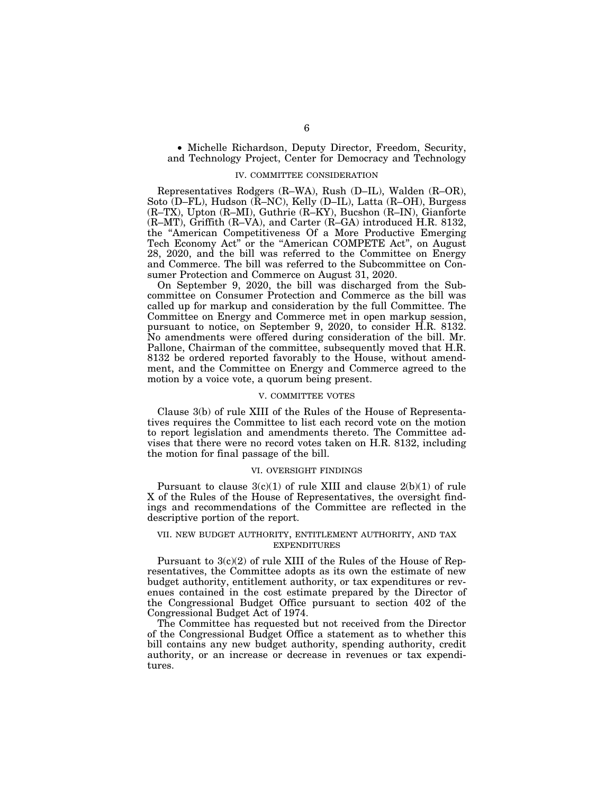• Michelle Richardson, Deputy Director, Freedom, Security, and Technology Project, Center for Democracy and Technology

#### IV. COMMITTEE CONSIDERATION

Representatives Rodgers (R–WA), Rush (D–IL), Walden (R–OR), Soto (D–FL), Hudson ( $\overline{R}$ –NC), Kelly (D–IL), Latta (R–OH), Burgess (R–TX), Upton (R–MI), Guthrie (R–KY), Bucshon (R–IN), Gianforte (R–MT), Griffith (R–VA), and Carter (R–GA) introduced H.R. 8132, the ''American Competitiveness Of a More Productive Emerging Tech Economy Act" or the "American COMPETE Act", on August 28, 2020, and the bill was referred to the Committee on Energy and Commerce. The bill was referred to the Subcommittee on Consumer Protection and Commerce on August 31, 2020.

On September 9, 2020, the bill was discharged from the Subcommittee on Consumer Protection and Commerce as the bill was called up for markup and consideration by the full Committee. The Committee on Energy and Commerce met in open markup session, pursuant to notice, on September 9, 2020, to consider H.R. 8132. No amendments were offered during consideration of the bill. Mr. Pallone, Chairman of the committee, subsequently moved that H.R. 8132 be ordered reported favorably to the House, without amendment, and the Committee on Energy and Commerce agreed to the motion by a voice vote, a quorum being present.

#### V. COMMITTEE VOTES

Clause 3(b) of rule XIII of the Rules of the House of Representatives requires the Committee to list each record vote on the motion to report legislation and amendments thereto. The Committee advises that there were no record votes taken on H.R. 8132, including the motion for final passage of the bill.

#### VI. OVERSIGHT FINDINGS

Pursuant to clause  $3(c)(1)$  of rule XIII and clause  $2(b)(1)$  of rule X of the Rules of the House of Representatives, the oversight findings and recommendations of the Committee are reflected in the descriptive portion of the report.

## VII. NEW BUDGET AUTHORITY, ENTITLEMENT AUTHORITY, AND TAX EXPENDITURES

Pursuant to 3(c)(2) of rule XIII of the Rules of the House of Representatives, the Committee adopts as its own the estimate of new budget authority, entitlement authority, or tax expenditures or revenues contained in the cost estimate prepared by the Director of the Congressional Budget Office pursuant to section 402 of the Congressional Budget Act of 1974.

The Committee has requested but not received from the Director of the Congressional Budget Office a statement as to whether this bill contains any new budget authority, spending authority, credit authority, or an increase or decrease in revenues or tax expenditures.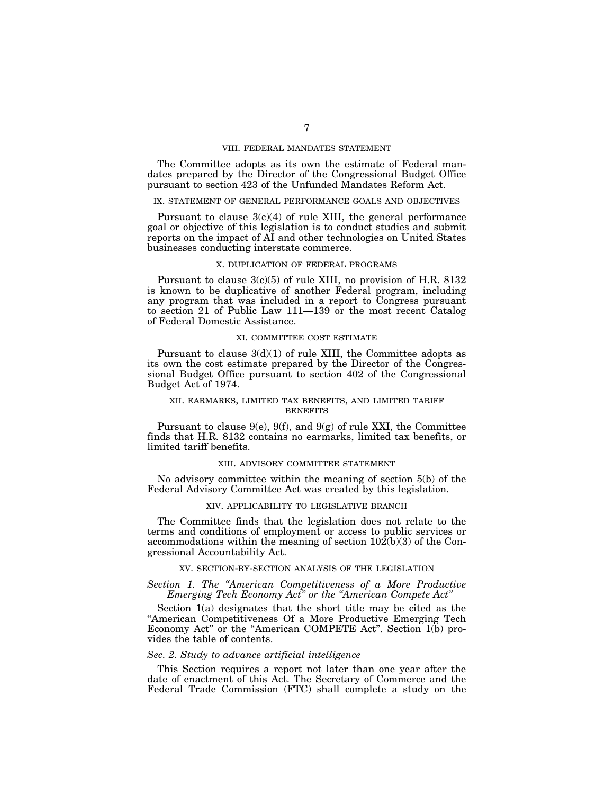#### VIII. FEDERAL MANDATES STATEMENT

The Committee adopts as its own the estimate of Federal mandates prepared by the Director of the Congressional Budget Office pursuant to section 423 of the Unfunded Mandates Reform Act.

#### IX. STATEMENT OF GENERAL PERFORMANCE GOALS AND OBJECTIVES

Pursuant to clause  $3(c)(4)$  of rule XIII, the general performance goal or objective of this legislation is to conduct studies and submit reports on the impact of AI and other technologies on United States businesses conducting interstate commerce.

## X. DUPLICATION OF FEDERAL PROGRAMS

Pursuant to clause 3(c)(5) of rule XIII, no provision of H.R. 8132 is known to be duplicative of another Federal program, including any program that was included in a report to Congress pursuant to section 21 of Public Law 111—139 or the most recent Catalog of Federal Domestic Assistance.

#### XI. COMMITTEE COST ESTIMATE

Pursuant to clause  $3(d)(1)$  of rule XIII, the Committee adopts as its own the cost estimate prepared by the Director of the Congressional Budget Office pursuant to section 402 of the Congressional Budget Act of 1974.

#### XII. EARMARKS, LIMITED TAX BENEFITS, AND LIMITED TARIFF **BENEFITS**

Pursuant to clause 9(e), 9(f), and 9(g) of rule XXI, the Committee finds that H.R. 8132 contains no earmarks, limited tax benefits, or limited tariff benefits.

#### XIII. ADVISORY COMMITTEE STATEMENT

No advisory committee within the meaning of section 5(b) of the Federal Advisory Committee Act was created by this legislation.

## XIV. APPLICABILITY TO LEGISLATIVE BRANCH

The Committee finds that the legislation does not relate to the terms and conditions of employment or access to public services or accommodations within the meaning of section  $10\overline{2(b)}(3)$  of the Congressional Accountability Act.

## XV. SECTION-BY-SECTION ANALYSIS OF THE LEGISLATION

*Section 1. The ''American Competitiveness of a More Productive Emerging Tech Economy Act'' or the ''American Compete Act''* 

Section 1(a) designates that the short title may be cited as the ''American Competitiveness Of a More Productive Emerging Tech Economy Act" or the "American COMPETE Act". Section 1(b) provides the table of contents.

#### *Sec. 2. Study to advance artificial intelligence*

This Section requires a report not later than one year after the date of enactment of this Act. The Secretary of Commerce and the Federal Trade Commission (FTC) shall complete a study on the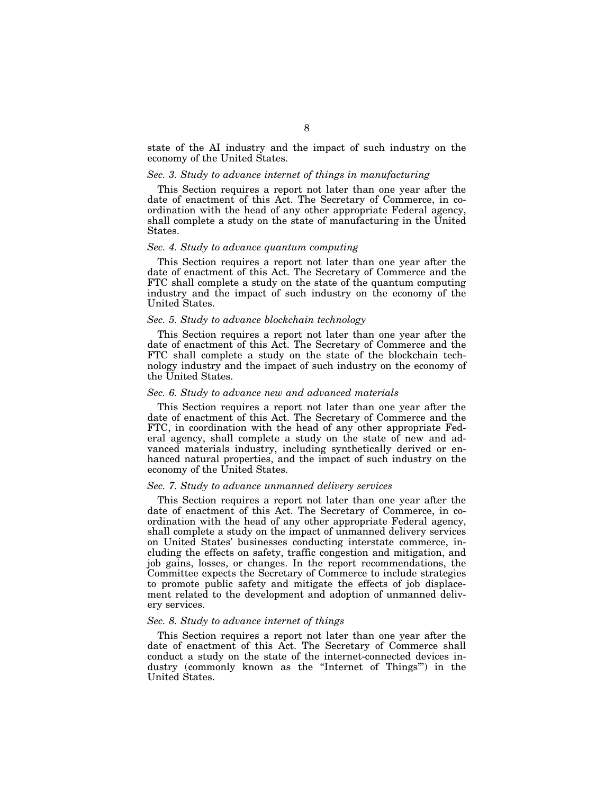state of the AI industry and the impact of such industry on the economy of the United States.

## *Sec. 3. Study to advance internet of things in manufacturing*

This Section requires a report not later than one year after the date of enactment of this Act. The Secretary of Commerce, in coordination with the head of any other appropriate Federal agency, shall complete a study on the state of manufacturing in the United States.

#### *Sec. 4. Study to advance quantum computing*

This Section requires a report not later than one year after the date of enactment of this Act. The Secretary of Commerce and the FTC shall complete a study on the state of the quantum computing industry and the impact of such industry on the economy of the United States.

## *Sec. 5. Study to advance blockchain technology*

This Section requires a report not later than one year after the date of enactment of this Act. The Secretary of Commerce and the FTC shall complete a study on the state of the blockchain technology industry and the impact of such industry on the economy of the United States.

#### *Sec. 6. Study to advance new and advanced materials*

This Section requires a report not later than one year after the date of enactment of this Act. The Secretary of Commerce and the FTC, in coordination with the head of any other appropriate Federal agency, shall complete a study on the state of new and advanced materials industry, including synthetically derived or enhanced natural properties, and the impact of such industry on the economy of the United States.

#### *Sec. 7. Study to advance unmanned delivery services*

This Section requires a report not later than one year after the date of enactment of this Act. The Secretary of Commerce, in coordination with the head of any other appropriate Federal agency, shall complete a study on the impact of unmanned delivery services on United States' businesses conducting interstate commerce, including the effects on safety, traffic congestion and mitigation, and job gains, losses, or changes. In the report recommendations, the Committee expects the Secretary of Commerce to include strategies to promote public safety and mitigate the effects of job displacement related to the development and adoption of unmanned delivery services.

#### *Sec. 8. Study to advance internet of things*

This Section requires a report not later than one year after the date of enactment of this Act. The Secretary of Commerce shall conduct a study on the state of the internet-connected devices industry (commonly known as the ''Internet of Things''') in the United States.